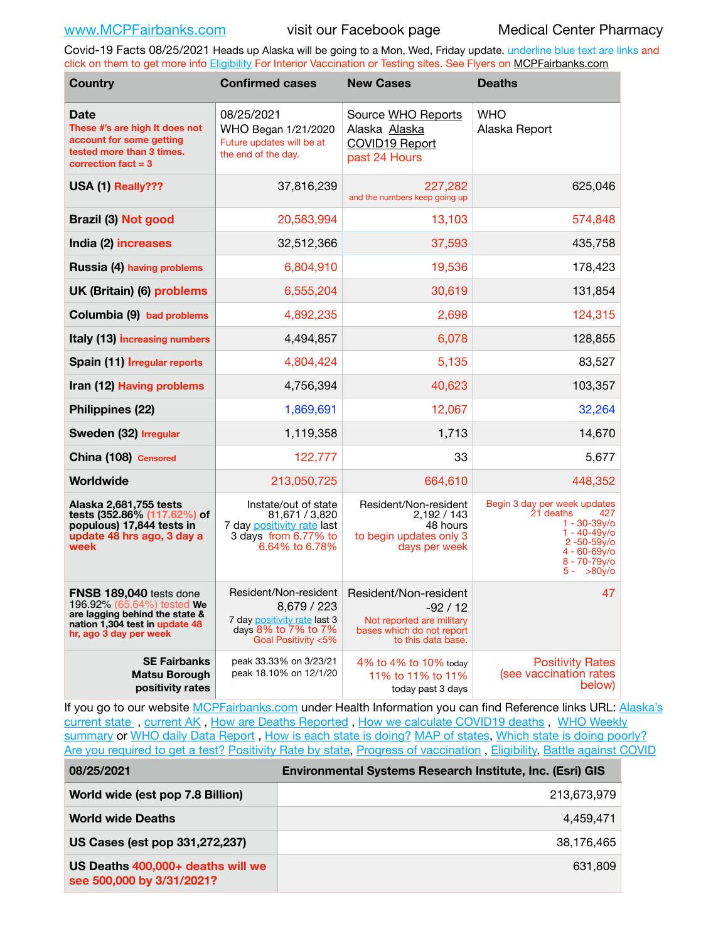Covid-19 Facts 08/25/2021 Heads up Alaska will be going to a Mon, Wed, Friday update. underline blue text are links and click on them to get more info [Eligibility](http://dhss.alaska.gov/dph/Epi/id/Pages/COVID-19/VaccineAvailability.aspx) For Interior Vaccination or Testing sites. See Flyers on [MCPFairbanks.com](http://www.MCPFairbanks.com)

| <b>Country</b>                                                                                                                                             | <b>Confirmed cases</b>                                                                                             | <b>New Cases</b>                                                                                                  | <b>Deaths</b>                                                                                                                                                     |
|------------------------------------------------------------------------------------------------------------------------------------------------------------|--------------------------------------------------------------------------------------------------------------------|-------------------------------------------------------------------------------------------------------------------|-------------------------------------------------------------------------------------------------------------------------------------------------------------------|
| <b>Date</b><br>These #'s are high It does not<br>account for some getting<br>tested more than 3 times.<br>correction fact $=$ 3                            | 08/25/2021<br>WHO Began 1/21/2020<br>Future updates will be at<br>the end of the day.                              | Source WHO Reports<br>Alaska Alaska<br>COVID19 Report<br>past 24 Hours                                            | <b>WHO</b><br>Alaska Report                                                                                                                                       |
| USA (1) Really???                                                                                                                                          | 37,816,239                                                                                                         | 227,282<br>and the numbers keep going up                                                                          | 625,046                                                                                                                                                           |
| <b>Brazil (3) Not good</b>                                                                                                                                 | 20,583,994                                                                                                         | 13,103                                                                                                            | 574,848                                                                                                                                                           |
| India (2) increases                                                                                                                                        | 32,512,366                                                                                                         | 37,593                                                                                                            | 435,758                                                                                                                                                           |
| Russia (4) having problems                                                                                                                                 | 6,804,910                                                                                                          | 19,536                                                                                                            | 178,423                                                                                                                                                           |
| UK (Britain) (6) problems                                                                                                                                  | 6,555,204                                                                                                          | 30,619                                                                                                            | 131,854                                                                                                                                                           |
| Columbia (9) bad problems                                                                                                                                  | 4,892,235                                                                                                          | 2,698                                                                                                             | 124,315                                                                                                                                                           |
| Italy (13) increasing numbers                                                                                                                              | 4,494,857                                                                                                          | 6,078                                                                                                             | 128,855                                                                                                                                                           |
| Spain (11) Irregular reports                                                                                                                               | 4,804,424                                                                                                          | 5,135                                                                                                             | 83,527                                                                                                                                                            |
| Iran (12) Having problems                                                                                                                                  | 4,756,394                                                                                                          | 40,623                                                                                                            | 103,357                                                                                                                                                           |
| Philippines (22)                                                                                                                                           | 1,869,691                                                                                                          | 12,067                                                                                                            | 32,264                                                                                                                                                            |
| Sweden (32) Irregular                                                                                                                                      | 1,119,358                                                                                                          | 1,713                                                                                                             | 14,670                                                                                                                                                            |
| China (108) Censored                                                                                                                                       | 122,777                                                                                                            | 33                                                                                                                | 5,677                                                                                                                                                             |
| Worldwide                                                                                                                                                  | 213,050,725                                                                                                        | 664,610                                                                                                           | 448,352                                                                                                                                                           |
| Alaska 2,681,755 tests<br>tests (352.86% (117.62%) of<br>populous) 17,844 tests in<br>update 48 hrs ago, 3 day a<br>week                                   | Instate/out of state<br>81,671 / 3,820<br>7 day positivity rate last<br>3 days from 6.77% to<br>6.64% to 6.78%     | Resident/Non-resident<br>2,192 / 143<br>48 hours<br>to begin updates only 3<br>days per week                      | Begin 3 day per week updates<br>21 deaths<br>427<br>$1 - 30 - 39$ y/o<br>$1 - 40 - 49v$<br>$2 - 50 - 59$ y/o<br>$4 - 60 - 69$ y/o<br>8 - 70-79y/o<br>$5 - 80v$ /o |
| <b>FNSB 189,040</b> tests done<br>196.92% (65.64%) tested We<br>are lagging behind the state &<br>nation 1,304 test in update 48<br>hr, ago 3 day per week | Resident/Non-resident<br>8,679 / 223<br>7 day positivity rate last 3<br>days 8% to 7% to 7%<br>Goal Positivity <5% | Resident/Non-resident<br>$-92/12$<br>Not reported are military<br>bases which do not report<br>to this data base. | 47                                                                                                                                                                |
| <b>SE Fairbanks</b><br><b>Matsu Borough</b><br>positivity rates                                                                                            | peak 33.33% on 3/23/21<br>peak 18.10% on 12/1/20                                                                   | 4% to 4% to 10% today<br>11% to 11% to 11%<br>today past 3 days                                                   | <b>Positivity Rates</b><br>(see vaccination rates<br>below)                                                                                                       |

If you go to our website [MCPFairbanks.com](http://www.MCPFairbanks.com) under Health Information you can find Reference links URL: Alaska's current state, current AK, [How are Deaths Reported](http://dhss.alaska.gov/dph/Epi/id/Pages/COVID-19/deathcounts.aspx), [How we calculate COVID19 deaths](https://coronavirus-response-alaska-dhss.hub.arcgis.com/search?collection=Document&groupIds=41ccb3344ebc4bd682c74073eba21f42), WHO Weekly [summary](http://www.who.int) or [WHO daily Data Report](https://covid19.who.int/table), [How is each state is doing?](https://www.msn.com/en-us/news/us/state-by-state-coronavirus-news/ar-BB13E1PX?fbclid=IwAR0_OBJH7lSyTN3ug_MsOeFnNgB1orTa9OBgilKJ7dhnwlVvHEsptuKkj1c) [MAP of states,](https://www.nationalgeographic.com/science/graphics/graphic-tracking-coronavirus-infections-us?cmpid=org=ngp::mc=crm-email::src=ngp::cmp=editorial::add=SpecialEdition_20210305&rid=B9A6DF5992658E8E35CE023113CFEA4C) [Which state is doing poorly?](https://bestlifeonline.com/covid-outbreak-your-state/?utm_source=nsltr&utm_medium=email&utm_content=covid-outbreak-your-state&utm_campaign=launch) [Are you required to get a test?](http://dhss.alaska.gov/dph/Epi/id/SiteAssets/Pages/HumanCoV/Whattodoafteryourtest.pdf) [Positivity Rate by state](https://coronavirus.jhu.edu/testing/individual-states/alaska), Progress of vaccination, [Eligibility,](http://dhss.alaska.gov/dph/Epi/id/Pages/COVID-19/VaccineAvailability.aspx) [Battle against COVID](https://www.nationalgeographic.com/science/graphics/graphic-tracking-coronavirus-infections-us?cmpid=org=ngp::mc=crm-email::src=ngp::cmp=editorial::add=SpecialEdition_20210219&rid=B9A6DF5992658E8E35CE023113CFEA4C)

| 08/25/2021                                                     | Environmental Systems Research Institute, Inc. (Esri) GIS |
|----------------------------------------------------------------|-----------------------------------------------------------|
| World wide (est pop 7.8 Billion)                               | 213,673,979                                               |
| <b>World wide Deaths</b>                                       | 4.459.471                                                 |
| US Cases (est pop 331,272,237)                                 | 38.176.465                                                |
| US Deaths 400,000+ deaths will we<br>see 500,000 by 3/31/2021? | 631,809                                                   |
|                                                                |                                                           |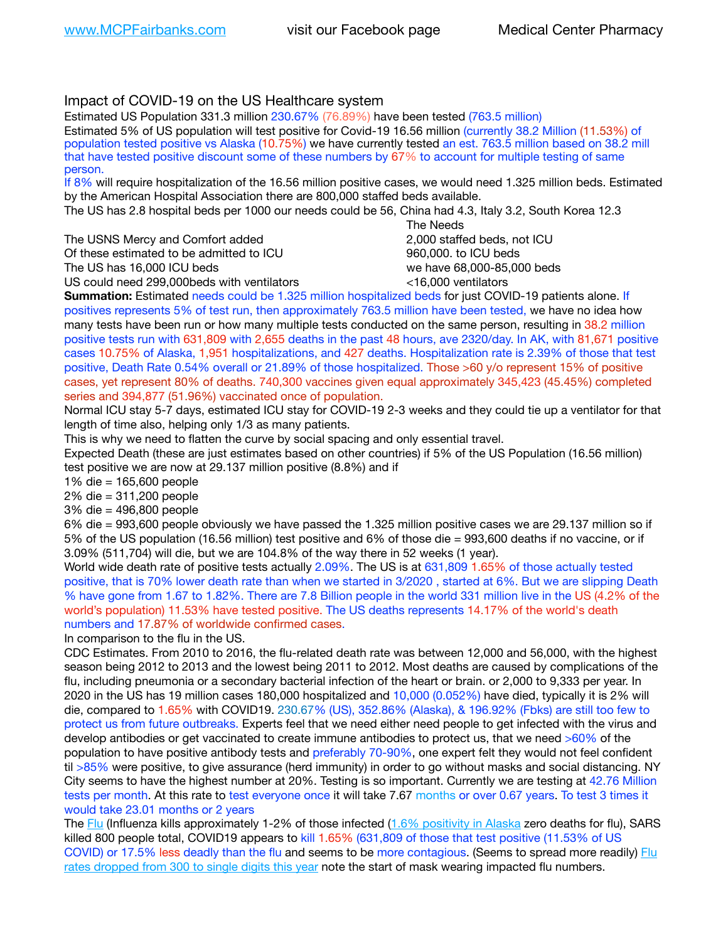# Impact of COVID-19 on the US Healthcare system

Estimated US Population 331.3 million 230.67% (76.89%) have been tested (763.5 million) Estimated 5% of US population will test positive for Covid-19 16.56 million (currently 38.2 Million (11.53%) of population tested positive vs Alaska (10.75%) we have currently tested an est. 763.5 million based on 38.2 mill that have tested positive discount some of these numbers by 67% to account for multiple testing of same person.

If 8% will require hospitalization of the 16.56 million positive cases, we would need 1.325 million beds. Estimated by the American Hospital Association there are 800,000 staffed beds available.

The US has 2.8 hospital beds per 1000 our needs could be 56, China had 4.3, Italy 3.2, South Korea 12.3

The USNS Mercy and Comfort added 2,000 staffed beds, not ICU Of these estimated to be admitted to ICU 860,000. to ICU beds The US has 16,000 ICU beds we have 68,000-85,000 beds ve have 68,000-85,000 beds

US could need 299,000 beds with ventilators  $\leq$ 16,000 ventilators

 The Needs

**Summation:** Estimated needs could be 1.325 million hospitalized beds for just COVID-19 patients alone. If positives represents 5% of test run, then approximately 763.5 million have been tested, we have no idea how many tests have been run or how many multiple tests conducted on the same person, resulting in 38.2 million positive tests run with 631,809 with 2,655 deaths in the past 48 hours, ave 2320/day. In AK, with 81,671 positive cases 10.75% of Alaska, 1,951 hospitalizations, and 427 deaths. Hospitalization rate is 2.39% of those that test positive, Death Rate 0.54% overall or 21.89% of those hospitalized. Those >60 y/o represent 15% of positive cases, yet represent 80% of deaths. 740,300 vaccines given equal approximately 345,423 (45.45%) completed series and 394,877 (51.96%) vaccinated once of population.

Normal ICU stay 5-7 days, estimated ICU stay for COVID-19 2-3 weeks and they could tie up a ventilator for that length of time also, helping only 1/3 as many patients.

This is why we need to flatten the curve by social spacing and only essential travel.

Expected Death (these are just estimates based on other countries) if 5% of the US Population (16.56 million) test positive we are now at 29.137 million positive (8.8%) and if

1% die = 165,600 people

2% die = 311,200 people

3% die = 496,800 people

6% die = 993,600 people obviously we have passed the 1.325 million positive cases we are 29.137 million so if 5% of the US population (16.56 million) test positive and 6% of those die = 993,600 deaths if no vaccine, or if 3.09% (511,704) will die, but we are 104.8% of the way there in 52 weeks (1 year).

World wide death rate of positive tests actually 2.09%. The US is at 631,809 1.65% of those actually tested positive, that is 70% lower death rate than when we started in 3/2020 , started at 6%. But we are slipping Death % have gone from 1.67 to 1.82%. There are 7.8 Billion people in the world 331 million live in the US (4.2% of the world's population) 11.53% have tested positive. The US deaths represents 14.17% of the world's death numbers and 17.87% of worldwide confirmed cases.

In comparison to the flu in the US.

CDC Estimates. From 2010 to 2016, the flu-related death rate was between 12,000 and 56,000, with the highest season being 2012 to 2013 and the lowest being 2011 to 2012. Most deaths are caused by complications of the flu, including pneumonia or a secondary bacterial infection of the heart or brain. or 2,000 to 9,333 per year. In 2020 in the US has 19 million cases 180,000 hospitalized and 10,000 (0.052%) have died, typically it is 2% will die, compared to 1.65% with COVID19. 230.67% (US), 352.86% (Alaska), & 196.92% (Fbks) are still too few to protect us from future outbreaks. Experts feel that we need either need people to get infected with the virus and develop antibodies or get vaccinated to create immune antibodies to protect us, that we need >60% of the population to have positive antibody tests and preferably 70-90%, one expert felt they would not feel confident til >85% were positive, to give assurance (herd immunity) in order to go without masks and social distancing. NY City seems to have the highest number at 20%. Testing is so important. Currently we are testing at 42.76 Million tests per month. At this rate to test everyone once it will take 7.67 months or over 0.67 years. To test 3 times it would take 23.01 months or 2 years

The [Flu](https://lnks.gd/l/eyJhbGciOiJIUzI1NiJ9.eyJidWxsZXRpbl9saW5rX2lkIjoxMDMsInVyaSI6ImJwMjpjbGljayIsImJ1bGxldGluX2lkIjoiMjAyMTAyMjYuMzYwNDA3NTEiLCJ1cmwiOiJodHRwczovL3d3dy5jZGMuZ292L2ZsdS93ZWVrbHkvb3ZlcnZpZXcuaHRtIn0.ePMA_hsZ-pTnhWSyg1gHvHWYTu2XceVOt0JejxvP1WE/s/500544915/br/98428119752-l) (Influenza kills approximately 1-2% of those infected ([1.6% positivity in Alaska](http://dhss.alaska.gov/dph/Epi/id/SiteAssets/Pages/influenza/trends/Snapshot.pdf) zero deaths for flu), SARS killed 800 people total, COVID19 appears to kill 1.65% (631,809 of those that test positive (11.53% of US COVID) or 17.5% less deadly than the flu and seems to be more contagious. (Seems to spread more readily) [Flu](https://lnks.gd/l/eyJhbGciOiJIUzI1NiJ9.eyJidWxsZXRpbl9saW5rX2lkIjoxMDEsInVyaSI6ImJwMjpjbGljayIsImJ1bGxldGluX2lkIjoiMjAyMTAyMjYuMzYwNDA3NTEiLCJ1cmwiOiJodHRwOi8vZGhzcy5hbGFza2EuZ292L2RwaC9FcGkvaWQvUGFnZXMvaW5mbHVlbnphL2ZsdWluZm8uYXNweCJ9.oOe3nt2fww6XpsNhb4FZfmtPfPa-irGaldpkURBJhSo/s/500544915/br/98428119752-l)  [rates dropped from 300 to single digits this year](https://lnks.gd/l/eyJhbGciOiJIUzI1NiJ9.eyJidWxsZXRpbl9saW5rX2lkIjoxMDEsInVyaSI6ImJwMjpjbGljayIsImJ1bGxldGluX2lkIjoiMjAyMTAyMjYuMzYwNDA3NTEiLCJ1cmwiOiJodHRwOi8vZGhzcy5hbGFza2EuZ292L2RwaC9FcGkvaWQvUGFnZXMvaW5mbHVlbnphL2ZsdWluZm8uYXNweCJ9.oOe3nt2fww6XpsNhb4FZfmtPfPa-irGaldpkURBJhSo/s/500544915/br/98428119752-l) note the start of mask wearing impacted flu numbers.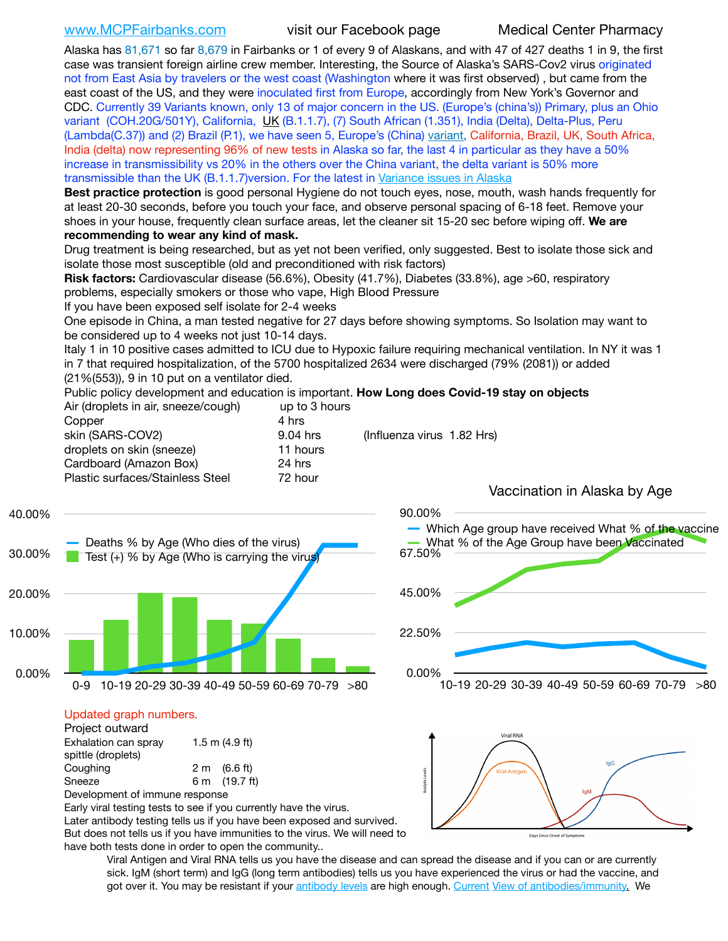Alaska has 81,671 so far 8,679 in Fairbanks or 1 of every 9 of Alaskans, and with 47 of 427 deaths 1 in 9, the first case was transient foreign airline crew member. Interesting, the Source of Alaska's SARS-Cov2 virus originated not from East Asia by travelers or the west coast (Washington where it was first observed) , but came from the east coast of the US, and they were inoculated first from Europe, accordingly from New York's Governor and CDC. Currently 39 Variants known, only 13 of major concern in the US. (Europe's (china's)) Primary, plus an Ohio variant (COH.20G/501Y), California, [UK](https://www.cdc.gov/coronavirus/2019-ncov/transmission/variant-cases.html) (B.1.1.7), (7) South African (1.351), India (Delta), Delta-Plus, Peru (Lambda(C.37)) and (2) Brazil (P.1), we have seen 5, Europe's (China) [variant](https://www.webmd.com/lung/news/20210318/cdc-who-create-threat-levels-for-covid-variants?ecd=wnl_cvd_031921&ctr=wnl-cvd-031921&mb=kYbf7DsHb7YGjh/1RUkcAW0T6iorImAU1TDZh18RYs0=_Support_titleLink_2), California, Brazil, UK, South Africa, India (delta) now representing 96% of new tests in Alaska so far, the last 4 in particular as they have a 50% increase in transmissibility vs 20% in the others over the China variant, the delta variant is 50% more transmissible than the UK (B.1.1.7)version. For the latest in [Variance issues in Alaska](https://lnks.gd/l/eyJhbGciOiJIUzI1NiJ9.eyJidWxsZXRpbl9saW5rX2lkIjoxMDgsInVyaSI6ImJwMjpjbGljayIsImJ1bGxldGluX2lkIjoiMjAyMTA4MDUuNDQxMzM4NzEiLCJ1cmwiOiJodHRwOi8vZGhzcy5hbGFza2EuZ292L2RwaC9FcGkvaWQvc2l0ZWFzc2V0cy9wYWdlcy9odW1hbmNvdi9BS1NlcUNvbl9HZW5vbWljU2l0dWF0aW9uUmVwb3J0LnBkZiJ9.wjCZc7vYm_CIgdjPTJyJ9ehoQjtub_KeZLTKgTIA69A/s/500544915/br/110405970878-l)

**Best practice protection** is good personal Hygiene do not touch eyes, nose, mouth, wash hands frequently for at least 20-30 seconds, before you touch your face, and observe personal spacing of 6-18 feet. Remove your shoes in your house, frequently clean surface areas, let the cleaner sit 15-20 sec before wiping off. **We are recommending to wear any kind of mask.**

Drug treatment is being researched, but as yet not been verified, only suggested. Best to isolate those sick and isolate those most susceptible (old and preconditioned with risk factors)

**Risk factors:** Cardiovascular disease (56.6%), Obesity (41.7%), Diabetes (33.8%), age >60, respiratory problems, especially smokers or those who vape, High Blood Pressure

If you have been exposed self isolate for 2-4 weeks

One episode in China, a man tested negative for 27 days before showing symptoms. So Isolation may want to be considered up to 4 weeks not just 10-14 days.

Italy 1 in 10 positive cases admitted to ICU due to Hypoxic failure requiring mechanical ventilation. In NY it was 1 in 7 that required hospitalization, of the 5700 hospitalized 2634 were discharged (79% (2081)) or added (21%(553)), 9 in 10 put on a ventilator died.

Public policy development and education is important. **How Long does Covid-19 stay on objects** Air (droplets in air, sneeze/cough) up to 3 hours

| $\frac{1}{2}$ and $\frac{1}{2}$ and $\frac{1}{2}$ and $\frac{1}{2}$ and $\frac{1}{2}$ and $\frac{1}{2}$ and $\frac{1}{2}$ are $\frac{1}{2}$ | $W_{\rm V}$ to a find the set of $W_{\rm V}$ |                            |  |
|---------------------------------------------------------------------------------------------------------------------------------------------|----------------------------------------------|----------------------------|--|
| Copper                                                                                                                                      | 4 hrs                                        |                            |  |
| skin (SARS-COV2)                                                                                                                            | 9.04 hrs                                     | (Influenza virus 1.82 Hrs) |  |
| droplets on skin (sneeze)                                                                                                                   | 11 hours                                     |                            |  |
| Cardboard (Amazon Box)                                                                                                                      | 24 hrs                                       |                            |  |
| Plastic surfaces/Stainless Steel                                                                                                            | 72 hour                                      |                            |  |
|                                                                                                                                             |                                              |                            |  |





## Updated graph numbers.

| Project outward                |  |                        |
|--------------------------------|--|------------------------|
| Exhalation can spray           |  | $1.5$ m $(4.9$ ft)     |
| spittle (droplets)             |  |                        |
| Coughing                       |  | $2 \text{ m}$ (6.6 ft) |
| Sneeze                         |  | 6 m (19.7 ft)          |
| Development of immune response |  |                        |

Early viral testing tests to see if you currently have the virus. Later antibody testing tells us if you have been exposed and survived. But does not tells us if you have immunities to the virus. We will need to have both tests done in order to open the community..

0.00% 22.50% 45.00% 67.50% 90.00% 10-19 20-29 30-39 40-49 50-59 60-69 70-79 >80 Which Age group have received What % of the vaccine What % of the Age Group have been Vaccinated



Viral Antigen and Viral RNA tells us you have the disease and can spread the disease and if you can or are currently sick. IgM (short term) and IgG (long term antibodies) tells us you have experienced the virus or had the vaccine, and got over it. You may be resistant if your [antibody levels](https://www.cdc.gov/coronavirus/2019-ncov/lab/resources/antibody-tests.html) are high enough. [Current](https://l.facebook.com/l.php?u=https://www.itv.com/news/2020-10-26/covid-19-antibody-levels-reduce-over-time-study-finds?fbclid=IwAR3Dapzh1qIH1EIOdUQI2y8THf7jfA4KBCaJz8Qg-8xe1YsrR4nsAHDIXSY&h=AT30nut8pkqp0heVuz5W2rT2WFFm-2Ab52BsJxZZCNlGsX58IpPkuVEPULbIUV_M16MAukx1Kwb657DPXxsgDN1rpOQ4gqBtQsmVYiWpnHPJo2RQsU6CPMd14lgLnQnFWxfVi6zvmw&__tn__=-UK-R&c%5B0%5D=AT1GaRAfR_nGAyqcn7TI1-PpvqOqEKXHnz6TDWvRStMnOSH7boQDvTiwTOc6VId9UES6LKiOmm2m88wKCoolkJyOFvakt2Z1Mw8toYWGGoWW23r0MNVBl7cYJXB_UOvGklNHaNnaNr1_S7NhT3BSykNOBg) [View of antibodies/immunity](https://www.livescience.com/antibodies.html)[.](https://www.itv.com/news/2020-10-26/covid-19-antibody-levels-reduce-over-time-study-finds) We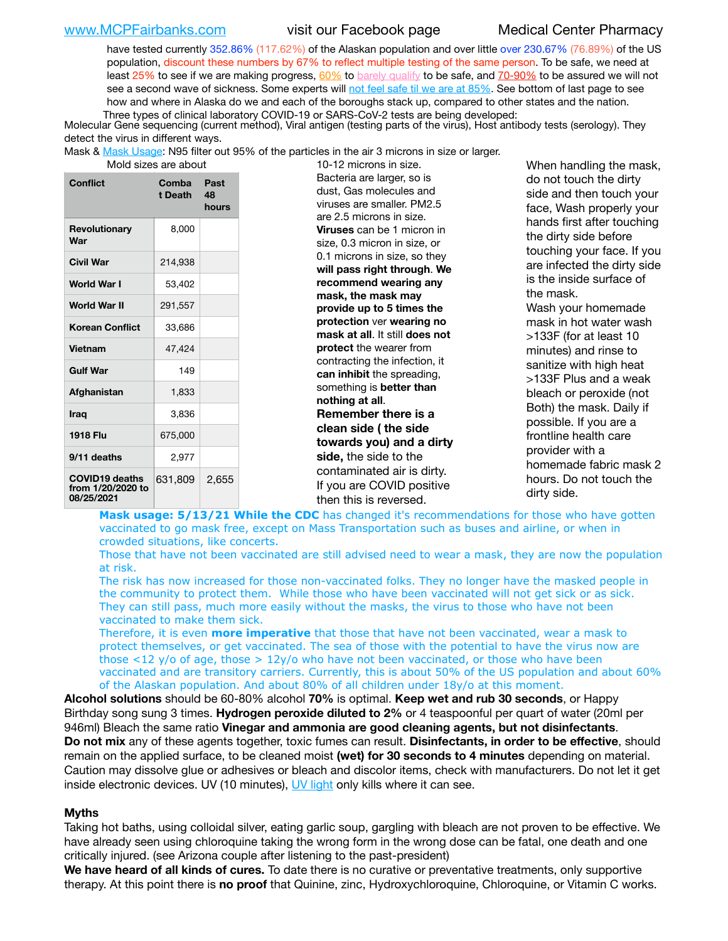[www.MCPFairbanks.com](http://www.MCPFairbanks.com) visit our Facebook page Medical Center Pharmacy

have tested currently 352.86% (117.62%) of the Alaskan population and over little over 230.67% (76.89%) of the US population, discount these numbers by 67% to reflect multiple testing of the same person. To be safe, we need at least 25% to see if we are making progress,  $60\%$  to [barely qualify](https://www.nature.com/articles/d41586-020-02948-4) to be safe, and  $70-90\%$  to be assured we will not see a second wave of sickness. Some experts will [not feel safe til we are at 85%](https://www.bannerhealth.com/healthcareblog/teach-me/what-is-herd-immunity). See bottom of last page to see how and where in Alaska do we and each of the boroughs stack up, compared to other states and the nation. Three types of clinical laboratory COVID-19 or SARS-CoV-2 tests are being developed:

 Molecular Gene sequencing (current method), Viral antigen (testing parts of the virus), Host antibody tests (serology). They detect the virus in different ways.

Mask & [Mask Usage:](https://www.nationalgeographic.com/history/2020/03/how-cities-flattened-curve-1918-spanish-flu-pandemic-coronavirus/) N95 filter out 95% of the particles in the air 3 microns in size or larger.

| Mold sizes are abou |  |  |  |
|---------------------|--|--|--|
|---------------------|--|--|--|

| Conflict                                                 | Comba<br>t Death | Past<br>48<br>hours |
|----------------------------------------------------------|------------------|---------------------|
| <b>Revolutionary</b><br>War                              | 8,000            |                     |
| Civil War                                                | 214,938          |                     |
| <b>World War I</b>                                       | 53,402           |                     |
| World War II                                             | 291,557          |                     |
| <b>Korean Conflict</b>                                   | 33,686           |                     |
| <b>Vietnam</b>                                           | 47,424           |                     |
| <b>Gulf War</b>                                          | 149              |                     |
| Afghanistan                                              | 1,833            |                     |
| <b>Iraq</b>                                              | 3,836            |                     |
| <b>1918 Flu</b>                                          | 675,000          |                     |
| 9/11 deaths                                              | 2,977            |                     |
| <b>COVID19 deaths</b><br>from 1/20/2020 to<br>08/25/2021 | 631,809          | 2,655               |

are are about 10-12 microns in size. Bacteria are larger, so is dust, Gas molecules and viruses are smaller. PM2.5 are 2.5 microns in size. **Viruses** can be 1 micron in size, 0.3 micron in size, or 0.1 microns in size, so they **will pass right through**. **We recommend wearing any mask, the mask may provide up to 5 times the protection** ver **wearing no mask at all**. It still **does not protect** the wearer from contracting the infection, it **can inhibit** the spreading, something is **better than nothing at all**. **Remember there is a clean side ( the side towards you) and a dirty side,** the side to the contaminated air is dirty. If you are COVID positive then this is reversed.

When handling the mask, do not touch the dirty side and then touch your face, Wash properly your hands first after touching the dirty side before touching your face. If you are infected the dirty side is the inside surface of the mask. Wash your homemade mask in hot water wash >133F (for at least 10 minutes) and rinse to sanitize with high heat >133F Plus and a weak bleach or peroxide (not Both) the mask. Daily if possible. If you are a frontline health care provider with a homemade fabric mask 2 hours. Do not touch the dirty side.

Mask usage: 5/13/21 While the CDC has changed it's recommendations for those who have gotten vaccinated to go mask free, except on Mass Transportation such as buses and airline, or when in crowded situations, like concerts.

Those that have not been vaccinated are still advised need to wear a mask, they are now the population at risk.

The risk has now increased for those non-vaccinated folks. They no longer have the masked people in the community to protect them. While those who have been vaccinated will not get sick or as sick. They can still pass, much more easily without the masks, the virus to those who have not been vaccinated to make them sick.

Therefore, it is even **more imperative** that those that have not been vaccinated, wear a mask to protect themselves, or get vaccinated. The sea of those with the potential to have the virus now are those <12 y/o of age, those >  $12y$ /o who have not been vaccinated, or those who have been vaccinated and are transitory carriers. Currently, this is about 50% of the US population and about 60% of the Alaskan population. And about 80% of all children under 18y/o at this moment.

**Alcohol solutions** should be 60-80% alcohol **70%** is optimal. **Keep wet and rub 30 seconds**, or Happy Birthday song sung 3 times. **Hydrogen peroxide diluted to 2%** or 4 teaspoonful per quart of water (20ml per 946ml) Bleach the same ratio **Vinegar and ammonia are good cleaning agents, but not disinfectants**. **Do not mix** any of these agents together, toxic fumes can result. **Disinfectants, in order to be effective**, should remain on the applied surface, to be cleaned moist **(wet) for 30 seconds to 4 minutes** depending on material. Caution may dissolve glue or adhesives or bleach and discolor items, check with manufacturers. Do not let it get inside electronic devices. UV (10 minutes), [UV light](http://www.docreviews.me/best-uv-boxes-2020/?fbclid=IwAR3bvFtXB48OoBBSvYvTEnKuHNPbipxM6jUo82QUSw9wckxjC7wwRZWabGw) only kills where it can see.

## **Myths**

Taking hot baths, using colloidal silver, eating garlic soup, gargling with bleach are not proven to be effective. We have already seen using chloroquine taking the wrong form in the wrong dose can be fatal, one death and one critically injured. (see Arizona couple after listening to the past-president)

**We have heard of all kinds of cures.** To date there is no curative or preventative treatments, only supportive therapy. At this point there is **no proof** that Quinine, zinc, Hydroxychloroquine, Chloroquine, or Vitamin C works.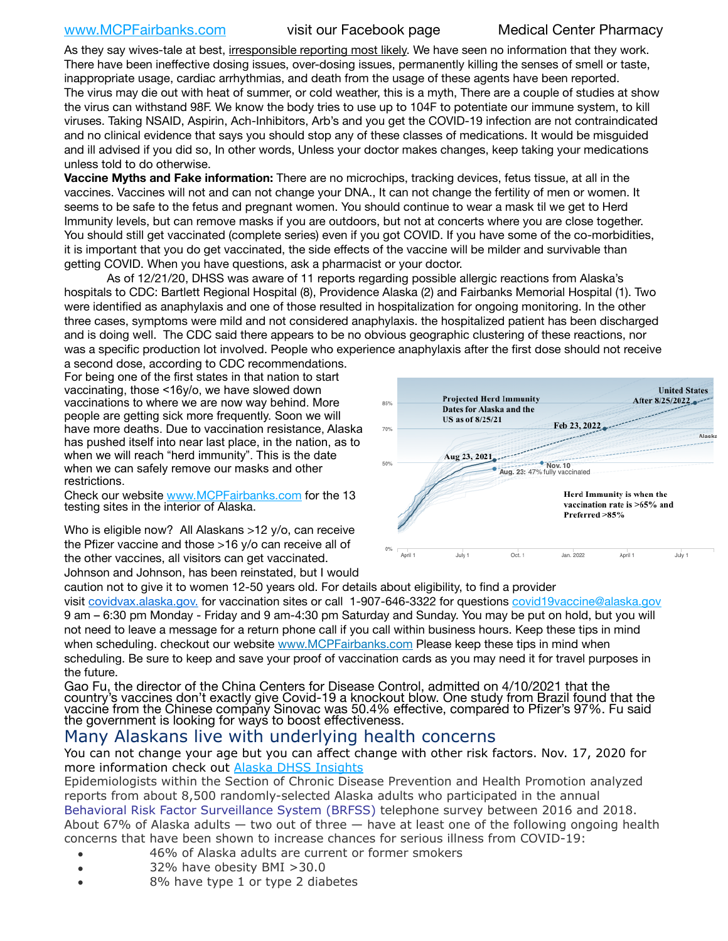# [www.MCPFairbanks.com](http://www.MCPFairbanks.com) visit our Facebook page Medical Center Pharmacy

As they say wives-tale at best, irresponsible reporting most likely. We have seen no information that they work. There have been ineffective dosing issues, over-dosing issues, permanently killing the senses of smell or taste, inappropriate usage, cardiac arrhythmias, and death from the usage of these agents have been reported. The virus may die out with heat of summer, or cold weather, this is a myth, There are a couple of studies at show the virus can withstand 98F. We know the body tries to use up to 104F to potentiate our immune system, to kill viruses. Taking NSAID, Aspirin, Ach-Inhibitors, Arb's and you get the COVID-19 infection are not contraindicated and no clinical evidence that says you should stop any of these classes of medications. It would be misguided and ill advised if you did so, In other words, Unless your doctor makes changes, keep taking your medications unless told to do otherwise.

**Vaccine Myths and Fake information:** There are no microchips, tracking devices, fetus tissue, at all in the vaccines. Vaccines will not and can not change your DNA., It can not change the fertility of men or women. It seems to be safe to the fetus and pregnant women. You should continue to wear a mask til we get to Herd Immunity levels, but can remove masks if you are outdoors, but not at concerts where you are close together. You should still get vaccinated (complete series) even if you got COVID. If you have some of the co-morbidities, it is important that you do get vaccinated, the side effects of the vaccine will be milder and survivable than getting COVID. When you have questions, ask a pharmacist or your doctor.

As of 12/21/20, DHSS was aware of 11 reports regarding possible allergic reactions from Alaska's hospitals to CDC: Bartlett Regional Hospital (8), Providence Alaska (2) and Fairbanks Memorial Hospital (1). Two were identified as anaphylaxis and one of those resulted in hospitalization for ongoing monitoring. In the other three cases, symptoms were mild and not considered anaphylaxis. the hospitalized patient has been discharged and is doing well. The CDC said there appears to be no obvious geographic clustering of these reactions, nor was a specific production lot involved. People who experience anaphylaxis after the first dose should not receive

a second dose, according to CDC recommendations. For being one of the first states in that nation to start vaccinating, those <16y/o, we have slowed down vaccinations to where we are now way behind. More people are getting sick more frequently. Soon we will have more deaths. Due to vaccination resistance, Alaska has pushed itself into near last place, in the nation, as to when we will reach "herd immunity". This is the date when we can safely remove our masks and other restrictions.

Check our website [www.MCPFairbanks.com](http://www.MCPFairbanks.com) for the 13 testing sites in the interior of Alaska.

Who is eligible now? All Alaskans >12 y/o, can receive the Pfizer vaccine and those >16 y/o can receive all of the other vaccines, all visitors can get vaccinated. Johnson and Johnson, has been reinstated, but I would



caution not to give it to women 12-50 years old. For details about eligibility, to find a provider visit [covidvax.alaska.gov.](https://lnks.gd/l/eyJhbGciOiJIUzI1NiJ9.eyJidWxsZXRpbl9saW5rX2lkIjoxMDYsInVyaSI6ImJwMjpjbGljayIsImJ1bGxldGluX2lkIjoiMjAyMTAxMjguMzQwODU3NjEiLCJ1cmwiOiJodHRwOi8vZGhzcy5hbGFza2EuZ292L2RwaC9FcGkvaWQvUGFnZXMvQ09WSUQtMTkvdmFjY2luZS5hc3B4In0.-Xwhl42jAWOMS7ewfS85uxwrwjohCso3Sb81DuDKtxU/s/500544915/br/93796640171-l) for vaccination sites or call 1-907-646-3322 for questions [covid19vaccine@alaska.gov](mailto:covid19vaccine@alaska.gov?subject=COVID19%20Vaccine%20questions) 9 am – 6:30 pm Monday - Friday and 9 am-4:30 pm Saturday and Sunday. You may be put on hold, but you will not need to leave a message for a return phone call if you call within business hours. Keep these tips in mind when scheduling. checkout our website [www.MCPFairbanks.com](http://www.MCPFairbanks.com) Please keep these tips in mind when scheduling. Be sure to keep and save your proof of vaccination cards as you may need it for travel purposes in the future.

Gao Fu, the director of the China Centers for Disease Control, admitted on 4/10/2021 that the country's vaccines don't exactly give Covid-19 a knockout blow. One study from Brazil found that the vaccine from the Chinese company Sinovac was 50.4% effective, compared to Pfizer's 97%. Fu said the government is looking for ways to boost effectiveness.

# Many Alaskans live with underlying health concerns

You can not change your age but you can affect change with other risk factors. Nov. 17, 2020 for more information check out [Alaska DHSS Insights](http://dhss.alaska.gov/dph/Epi/id/Pages/COVID-19/blog/20201117.aspx)

Epidemiologists within the Section of Chronic Disease Prevention and Health Promotion analyzed reports from about 8,500 randomly-selected Alaska adults who participated in the annual [Behavioral Risk Factor Surveillance System \(BRFSS\)](http://dhss.alaska.gov/dph/Chronic/Pages/brfss/default.aspx) telephone survey between 2016 and 2018. About 67% of Alaska adults — two out of three — have at least one of the following ongoing health concerns that have been shown to increase chances for serious illness from COVID-19:

- 46% of Alaska adults are current or former smokers
- 32% have obesity BMI >30.0
- 8% have type 1 or type 2 diabetes